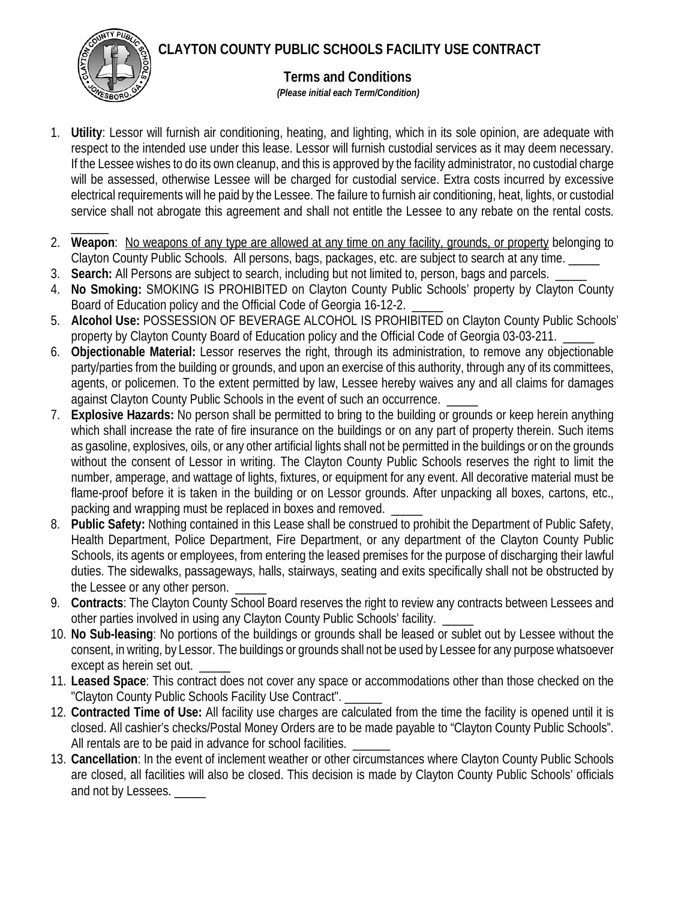**CLAYTON COUNTY PUBLIC SCHOOLS FACILITY USE CONTRACT**



## **Terms and Conditions**

 *(Please initial each Term/Condition)*

- 1. **Utility**: Lessor will furnish air conditioning, heating, and lighting, which in its sole opinion, are adequate with respect to the intended use under this lease. Lessor will furnish custodial services as it may deem necessary. If the Lessee wishes to do its own cleanup, and this is approved by the facility administrator, no custodial charge will be assessed, otherwise Lessee will be charged for custodial service. Extra costs incurred by excessive electrical requirements will he paid by the Lessee. The failure to furnish air conditioning, heat, lights, or custodial service shall not abrogate this agreement and shall not entitle the Lessee to any rebate on the rental costs.
- $\overline{\phantom{a}}$ 2. **Weapon**: No weapons of any type are allowed at any time on any facility, grounds, or property belonging to Clayton County Public Schools. All persons, bags, packages, etc. are subject to search at any time.
- 3. **Search:** All Persons are subject to search, including but not limited to, person, bags and parcels. \_\_\_\_\_
- 4. **No Smoking:** SMOKING IS PROHIBITED on Clayton County Public Schools' property by Clayton County Board of Education policy and the Official Code of Georgia 16-12-2.
- 5. **Alcohol Use:** POSSESSION OF BEVERAGE ALCOHOL IS PROHIBITED on Clayton County Public Schools' property by Clayton County Board of Education policy and the Official Code of Georgia 03-03-211.
- 6. **Objectionable Material:** Lessor reserves the right, through its administration, to remove any objectionable party/parties from the building or grounds, and upon an exercise of this authority, through any of its committees, agents, or policemen. To the extent permitted by law, Lessee hereby waives any and all claims for damages against Clayton County Public Schools in the event of such an occurrence. \_\_\_\_\_
- 7. **Explosive Hazards:** No person shall be permitted to bring to the building or grounds or keep herein anything which shall increase the rate of fire insurance on the buildings or on any part of property therein. Such items as gasoline, explosives, oils, or any other artificial lights shall not be permitted in the buildings or on the grounds without the consent of Lessor in writing. The Clayton County Public Schools reserves the right to limit the number, amperage, and wattage of lights, fixtures, or equipment for any event. All decorative material must be flame-proof before it is taken in the building or on Lessor grounds. After unpacking all boxes, cartons, etc., packing and wrapping must be replaced in boxes and removed.
- 8. **Public Safety:** Nothing contained in this Lease shall be construed to prohibit the Department of Public Safety, Health Department, Police Department, Fire Department, or any department of the Clayton County Public Schools, its agents or employees, from entering the leased premises for the purpose of discharging their lawful duties. The sidewalks, passageways, halls, stairways, seating and exits specifically shall not be obstructed by the Lessee or any other person.
- 9. **Contracts**: The Clayton County School Board reserves the right to review any contracts between Lessees and other parties involved in using any Clayton County Public Schools' facility. \_
- 10. **No Sub-leasing**: No portions of the buildings or grounds shall be leased or sublet out by Lessee without the consent, in writing, by Lessor. The buildings or grounds shall not be used by Lessee for any purpose whatsoever except as herein set out.
- 11. **Leased Space**: This contract does not cover any space or accommodations other than those checked on the "Clayton County Public Schools Facility Use Contract". \_
- 12. **Contracted Time of Use:** All facility use charges are calculated from the time the facility is opened until it is closed. All cashier's checks/Postal Money Orders are to be made payable to "Clayton County Public Schools". All rentals are to be paid in advance for school facilities.
- 13. **Cancellation**: In the event of inclement weather or other circumstances where Clayton County Public Schools are closed, all facilities will also be closed. This decision is made by Clayton County Public Schools' officials and not by Lessees. \_\_\_\_\_\_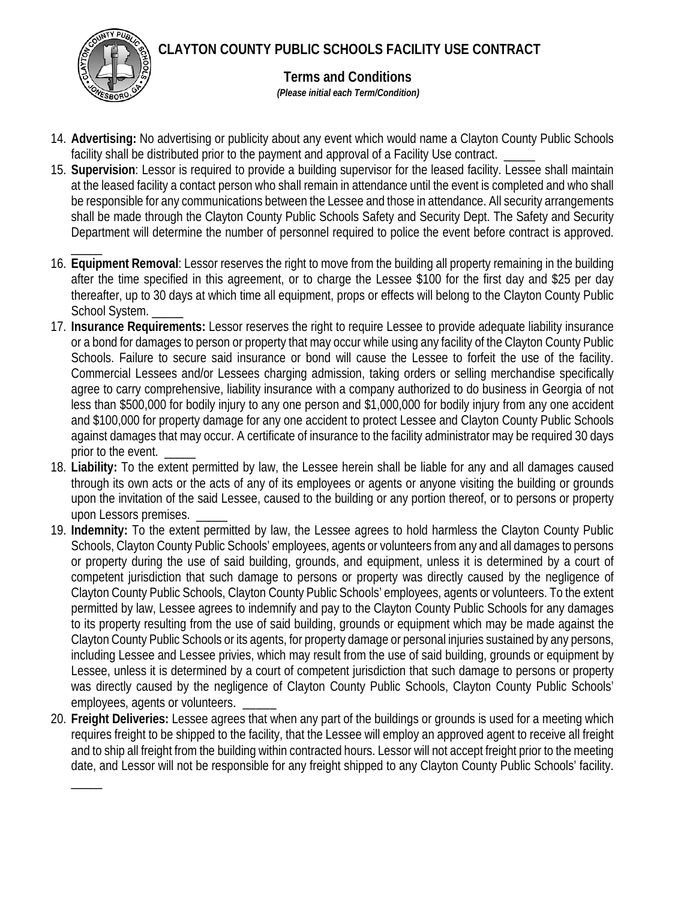**CLAYTON COUNTY PUBLIC SCHOOLS FACILITY USE CONTRACT**



 $\overline{\phantom{a}}$ 

**Terms and Conditions**

 *(Please initial each Term/Condition)*

- 14. **Advertising:** No advertising or publicity about any event which would name a Clayton County Public Schools facility shall be distributed prior to the payment and approval of a Facility Use contract.
- 15. **Supervision**: Lessor is required to provide a building supervisor for the leased facility. Lessee shall maintain at the leased facility a contact person who shall remain in attendance until the event is completed and who shall be responsible for any communications between the Lessee and those in attendance. All security arrangements shall be made through the Clayton County Public Schools Safety and Security Dept. The Safety and Security Department will determine the number of personnel required to police the event before contract is approved.
- \_\_\_\_\_ 16. **Equipment Removal**: Lessor reserves the right to move from the building all property remaining in the building after the time specified in this agreement, or to charge the Lessee \$100 for the first day and \$25 per day thereafter, up to 30 days at which time all equipment, props or effects will belong to the Clayton County Public School System.
- 17. **Insurance Requirements:** Lessor reserves the right to require Lessee to provide adequate liability insurance or a bond for damages to person or property that may occur while using any facility of the Clayton County Public Schools. Failure to secure said insurance or bond will cause the Lessee to forfeit the use of the facility. Commercial Lessees and/or Lessees charging admission, taking orders or selling merchandise specifically agree to carry comprehensive, liability insurance with a company authorized to do business in Georgia of not less than \$500,000 for bodily injury to any one person and \$1,000,000 for bodily injury from any one accident and \$100,000 for property damage for any one accident to protect Lessee and Clayton County Public Schools against damages that may occur. A certificate of insurance to the facility administrator may be required 30 days prior to the event.
- 18. **Liability:** To the extent permitted by law, the Lessee herein shall be liable for any and all damages caused through its own acts or the acts of any of its employees or agents or anyone visiting the building or grounds upon the invitation of the said Lessee, caused to the building or any portion thereof, or to persons or property upon Lessors premises.
- 19. **Indemnity:** To the extent permitted by law, the Lessee agrees to hold harmless the Clayton County Public Schools, Clayton County Public Schools' employees, agents or volunteers from any and all damages to persons or property during the use of said building, grounds, and equipment, unless it is determined by a court of competent jurisdiction that such damage to persons or property was directly caused by the negligence of Clayton County Public Schools, Clayton County Public Schools' employees, agents or volunteers. To the extent permitted by law, Lessee agrees to indemnify and pay to the Clayton County Public Schools for any damages to its property resulting from the use of said building, grounds or equipment which may be made against the Clayton County Public Schools or its agents, for property damage or personal injuries sustained by any persons, including Lessee and Lessee privies, which may result from the use of said building, grounds or equipment by Lessee, unless it is determined by a court of competent jurisdiction that such damage to persons or property was directly caused by the negligence of Clayton County Public Schools, Clayton County Public Schools' employees, agents or volunteers.
- 20. **Freight Deliveries:** Lessee agrees that when any part of the buildings or grounds is used for a meeting which requires freight to be shipped to the facility, that the Lessee will employ an approved agent to receive all freight and to ship all freight from the building within contracted hours. Lessor will not accept freight prior to the meeting date, and Lessor will not be responsible for any freight shipped to any Clayton County Public Schools' facility.